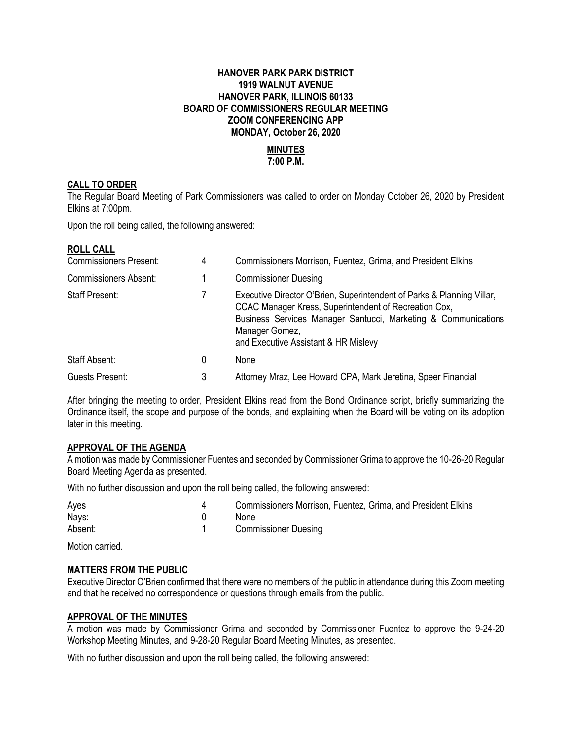# **HANOVER PARK PARK DISTRICT 1919 WALNUT AVENUE HANOVER PARK, ILLINOIS 60133 BOARD OF COMMISSIONERS REGULAR MEETING ZOOM CONFERENCING APP MONDAY, October 26, 2020**

### **MINUTES 7:00 P.M.**

### **CALL TO ORDER**

The Regular Board Meeting of Park Commissioners was called to order on Monday October 26, 2020 by President Elkins at 7:00pm.

Upon the roll being called, the following answered:

#### **ROLL CALL**

| <b>Commissioners Present:</b> | 4 | Commissioners Morrison, Fuentez, Grima, and President Elkins                                                                                                                                                                                                |
|-------------------------------|---|-------------------------------------------------------------------------------------------------------------------------------------------------------------------------------------------------------------------------------------------------------------|
| <b>Commissioners Absent:</b>  |   | <b>Commissioner Duesing</b>                                                                                                                                                                                                                                 |
| <b>Staff Present:</b>         |   | Executive Director O'Brien, Superintendent of Parks & Planning Villar,<br>CCAC Manager Kress, Superintendent of Recreation Cox,<br>Business Services Manager Santucci, Marketing & Communications<br>Manager Gomez,<br>and Executive Assistant & HR Mislevy |
| Staff Absent:                 | 0 | None                                                                                                                                                                                                                                                        |
| Guests Present:               | 3 | Attorney Mraz, Lee Howard CPA, Mark Jeretina, Speer Financial                                                                                                                                                                                               |

After bringing the meeting to order, President Elkins read from the Bond Ordinance script, briefly summarizing the Ordinance itself, the scope and purpose of the bonds, and explaining when the Board will be voting on its adoption later in this meeting.

### **APPROVAL OF THE AGENDA**

A motion was made by Commissioner Fuentes and seconded by Commissioner Grima to approve the 10-26-20 Regular Board Meeting Agenda as presented.

With no further discussion and upon the roll being called, the following answered:

| Ayes    | Commissioners Morrison, Fuentez, Grima, and President Elkins |
|---------|--------------------------------------------------------------|
| Nays:   | <b>None</b>                                                  |
| Absent: | <b>Commissioner Duesing</b>                                  |

Motion carried.

#### **MATTERS FROM THE PUBLIC**

Executive Director O'Brien confirmed that there were no members of the public in attendance during this Zoom meeting and that he received no correspondence or questions through emails from the public.

### **APPROVAL OF THE MINUTES**

A motion was made by Commissioner Grima and seconded by Commissioner Fuentez to approve the 9-24-20 Workshop Meeting Minutes, and 9-28-20 Regular Board Meeting Minutes, as presented.

With no further discussion and upon the roll being called, the following answered: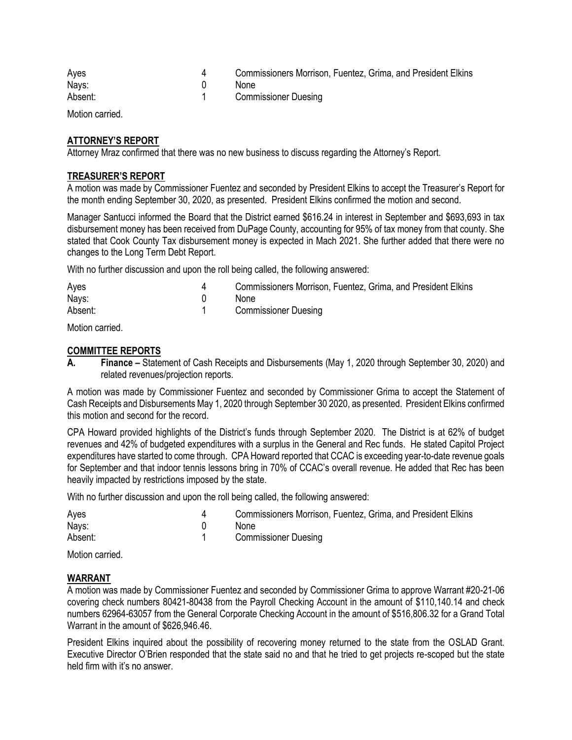| Ayes    | Commissioners Morrison, Fuentez, Grima, and President Elkins |
|---------|--------------------------------------------------------------|
| Nays:   | <b>None</b>                                                  |
| Absent: | <b>Commissioner Duesing</b>                                  |

Motion carried.

### **ATTORNEY'S REPORT**

Attorney Mraz confirmed that there was no new business to discuss regarding the Attorney's Report.

#### **TREASURER'S REPORT**

A motion was made by Commissioner Fuentez and seconded by President Elkins to accept the Treasurer's Report for the month ending September 30, 2020, as presented. President Elkins confirmed the motion and second.

Manager Santucci informed the Board that the District earned \$616.24 in interest in September and \$693,693 in tax disbursement money has been received from DuPage County, accounting for 95% of tax money from that county. She stated that Cook County Tax disbursement money is expected in Mach 2021. She further added that there were no changes to the Long Term Debt Report.

With no further discussion and upon the roll being called, the following answered:

| Ayes    | Commissioners Morrison, Fuentez, Grima, and President Elkins |
|---------|--------------------------------------------------------------|
| Nays:   | None                                                         |
| Absent: | <b>Commissioner Duesing</b>                                  |

Motion carried.

#### **COMMITTEE REPORTS**

**A. Finance –** Statement of Cash Receipts and Disbursements (May 1, 2020 through September 30, 2020) and related revenues/projection reports.

A motion was made by Commissioner Fuentez and seconded by Commissioner Grima to accept the Statement of Cash Receipts and Disbursements May 1, 2020 through September 30 2020, as presented. President Elkins confirmed this motion and second for the record.

CPA Howard provided highlights of the District's funds through September 2020. The District is at 62% of budget revenues and 42% of budgeted expenditures with a surplus in the General and Rec funds. He stated Capitol Project expenditures have started to come through. CPA Howard reported that CCAC is exceeding year-to-date revenue goals for September and that indoor tennis lessons bring in 70% of CCAC's overall revenue. He added that Rec has been heavily impacted by restrictions imposed by the state.

With no further discussion and upon the roll being called, the following answered:

| Ayes    | Commissioners Morrison, Fuentez, Grima, and President Elkins |
|---------|--------------------------------------------------------------|
| Nays:   | None                                                         |
| Absent: | <b>Commissioner Duesing</b>                                  |

Motion carried.

#### **WARRANT**

A motion was made by Commissioner Fuentez and seconded by Commissioner Grima to approve Warrant #20-21-06 covering check numbers 80421-80438 from the Payroll Checking Account in the amount of \$110,140.14 and check numbers 62964-63057 from the General Corporate Checking Account in the amount of \$516,806.32 for a Grand Total Warrant in the amount of \$626,946.46.

President Elkins inquired about the possibility of recovering money returned to the state from the OSLAD Grant. Executive Director O'Brien responded that the state said no and that he tried to get projects re-scoped but the state held firm with it's no answer.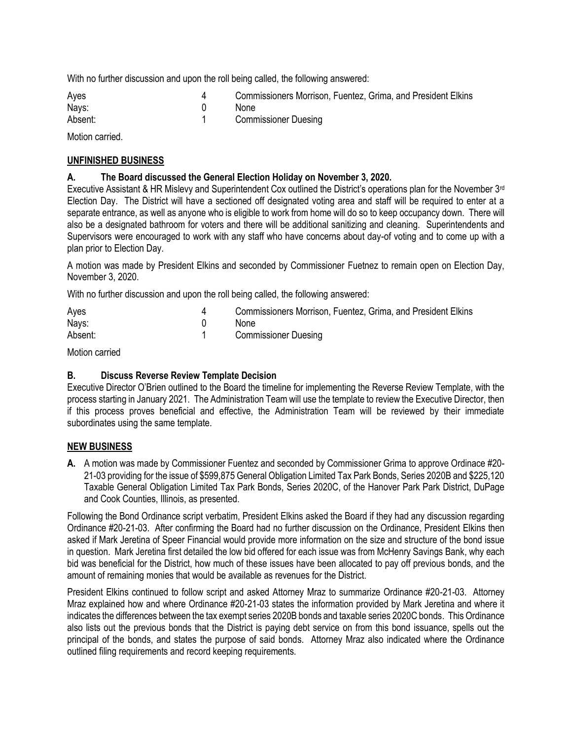With no further discussion and upon the roll being called, the following answered:

| Ayes    | Commissioners Morrison, Fuentez, Grima, and President Elkins |
|---------|--------------------------------------------------------------|
| Nays:   | None                                                         |
| Absent: | <b>Commissioner Duesing</b>                                  |

Motion carried.

# **UNFINISHED BUSINESS**

# **A. The Board discussed the General Election Holiday on November 3, 2020.**

Executive Assistant & HR Mislevy and Superintendent Cox outlined the District's operations plan for the November  $3<sup>rd</sup>$ Election Day. The District will have a sectioned off designated voting area and staff will be required to enter at a separate entrance, as well as anyone who is eligible to work from home will do so to keep occupancy down. There will also be a designated bathroom for voters and there will be additional sanitizing and cleaning. Superintendents and Supervisors were encouraged to work with any staff who have concerns about day-of voting and to come up with a plan prior to Election Day.

A motion was made by President Elkins and seconded by Commissioner Fuetnez to remain open on Election Day, November 3, 2020.

With no further discussion and upon the roll being called, the following answered:

| Ayes    | Commissioners Morrison, Fuentez, Grima, and President Elkins |
|---------|--------------------------------------------------------------|
| Nays:   | None                                                         |
| Absent: | <b>Commissioner Duesing</b>                                  |

Motion carried

# **B. Discuss Reverse Review Template Decision**

Executive Director O'Brien outlined to the Board the timeline for implementing the Reverse Review Template, with the process starting in January 2021. The Administration Team will use the template to review the Executive Director, then if this process proves beneficial and effective, the Administration Team will be reviewed by their immediate subordinates using the same template.

# **NEW BUSINESS**

**A.** A motion was made by Commissioner Fuentez and seconded by Commissioner Grima to approve Ordinace #20- 21-03 providing for the issue of \$599,875 General Obligation Limited Tax Park Bonds, Series 2020B and \$225,120 Taxable General Obligation Limited Tax Park Bonds, Series 2020C, of the Hanover Park Park District, DuPage and Cook Counties, Illinois, as presented.

Following the Bond Ordinance script verbatim, President Elkins asked the Board if they had any discussion regarding Ordinance #20-21-03. After confirming the Board had no further discussion on the Ordinance, President Elkins then asked if Mark Jeretina of Speer Financial would provide more information on the size and structure of the bond issue in question. Mark Jeretina first detailed the low bid offered for each issue was from McHenry Savings Bank, why each bid was beneficial for the District, how much of these issues have been allocated to pay off previous bonds, and the amount of remaining monies that would be available as revenues for the District.

President Elkins continued to follow script and asked Attorney Mraz to summarize Ordinance #20-21-03. Attorney Mraz explained how and where Ordinance #20-21-03 states the information provided by Mark Jeretina and where it indicates the differences between the tax exempt series 2020B bonds and taxable series 2020C bonds. This Ordinance also lists out the previous bonds that the District is paying debt service on from this bond issuance, spells out the principal of the bonds, and states the purpose of said bonds. Attorney Mraz also indicated where the Ordinance outlined filing requirements and record keeping requirements.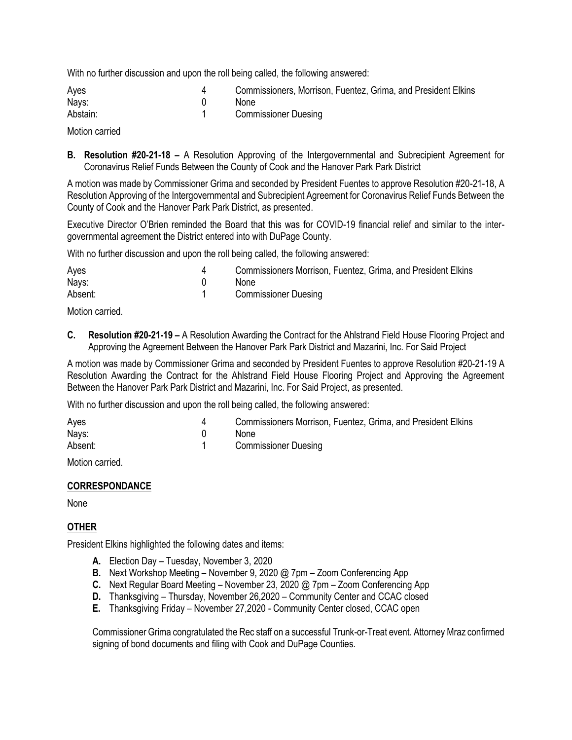With no further discussion and upon the roll being called, the following answered:

| Ayes     | Commissioners, Morrison, Fuentez, Grima, and President Elkins |
|----------|---------------------------------------------------------------|
| Nays:    | <b>None</b>                                                   |
| Abstain: | <b>Commissioner Duesing</b>                                   |
|          |                                                               |

Motion carried

**B. Resolution #20-21-18 –** A Resolution Approving of the Intergovernmental and Subrecipient Agreement for Coronavirus Relief Funds Between the County of Cook and the Hanover Park Park District

A motion was made by Commissioner Grima and seconded by President Fuentes to approve Resolution #20-21-18, A Resolution Approving of the Intergovernmental and Subrecipient Agreement for Coronavirus Relief Funds Between the County of Cook and the Hanover Park Park District, as presented.

Executive Director O'Brien reminded the Board that this was for COVID-19 financial relief and similar to the intergovernmental agreement the District entered into with DuPage County.

With no further discussion and upon the roll being called, the following answered:

| Ayes    | Commissioners Morrison, Fuentez, Grima, and President Elkins |
|---------|--------------------------------------------------------------|
| Nays:   | None.                                                        |
| Absent: | <b>Commissioner Duesing</b>                                  |

Motion carried.

**C. Resolution #20-21-19 –** A Resolution Awarding the Contract for the Ahlstrand Field House Flooring Project and Approving the Agreement Between the Hanover Park Park District and Mazarini, Inc. For Said Project

A motion was made by Commissioner Grima and seconded by President Fuentes to approve Resolution #20-21-19 A Resolution Awarding the Contract for the Ahlstrand Field House Flooring Project and Approving the Agreement Between the Hanover Park Park District and Mazarini, Inc. For Said Project, as presented.

With no further discussion and upon the roll being called, the following answered:

| Ayes    | Commissioners Morrison, Fuentez, Grima, and President Elkins |
|---------|--------------------------------------------------------------|
| Nays:   | None                                                         |
| Absent: | <b>Commissioner Duesing</b>                                  |

Motion carried.

#### **CORRESPONDANCE**

None

# **OTHER**

President Elkins highlighted the following dates and items:

- **A.** Election Day Tuesday, November 3, 2020
- **B.** Next Workshop Meeting November 9, 2020 @ 7pm Zoom Conferencing App
- **C.** Next Regular Board Meeting November 23, 2020 @ 7pm Zoom Conferencing App
- **D.** Thanksgiving Thursday, November 26,2020 Community Center and CCAC closed
- **E.** Thanksgiving Friday November 27,2020 Community Center closed, CCAC open

Commissioner Grima congratulated the Rec staff on a successful Trunk-or-Treat event. Attorney Mraz confirmed signing of bond documents and filing with Cook and DuPage Counties.